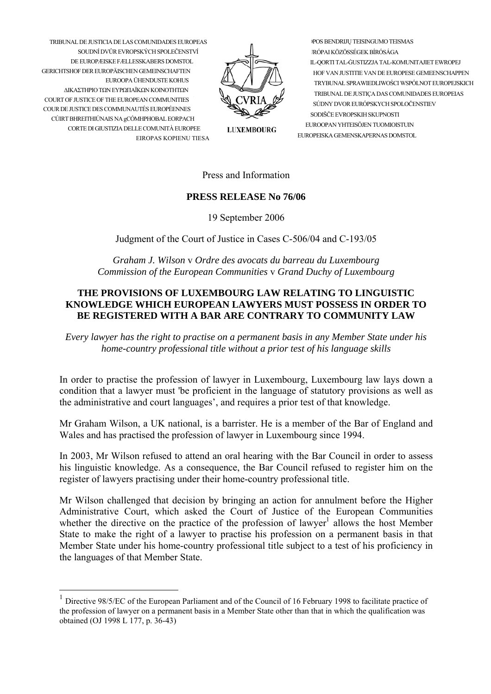TRIBUNAL DE JUSTICIA DE LAS COMUNIDADES EUROPEAS SOUDNÍ DVŮR EVROPSKÝCH SPOLEČENSTVÍ

ΔΙΚΑΣΤΗΡΙΟ ΤΩΝ ΕΥΡΩΠΑΪΚΩΝ ΚΟΙΝΟΤΗΤΩΝ

GERICHTSHOF DER EUROPÄISCHEN GEMEINSCHAFTEN

COURT OF JUSTICE OF THE EUROPEAN COMMUNITIES

COUR DE JUSTICE DES COMMUNAUTÉS EUROPÉENNES

CÚIRT BHREITHIÚNAIS NA gCÓMHPHOBAL EORPACH

CORTE DI GILISTIZIA DELLE COMUNITÀ ELIROPEE

DE ELIROPÆISKE FÆLLESSKARERS DOMSTOL.

EUROOPA ÜHENDUSTE KOHUS

EIROPAS KOPIENU TIESA

**LUXEMBOURG** 

POS BENDRIJŲ TEISINGUMO TEISMAS IRÓPAI KÖZÖSSÉGEK BÍRÓSÁGA IL-OORTI TAL-GUSTIZZJA TAL-KOMUNITAJIET EWROPEJ HOF VAN JUSTITIE VAN DE EUROPESE GEMEENSCHAPPEN TRYBUNAŁ SPRAWIEDLIWOŚCI WSPÓLNOT EUROPEJSKICH TRIBUNAL DE JUSTIÇA DAS COMUNIDADES EUROPEIAS SÚDNY DVOR EURÓPSKYCH SPOLOČENSTIEV SODIŠČE EVROPSKIH SKI IPNOSTI EUROOPAN YHTEISÖJEN TUOMIOISTUIN EUROPEISKA GEMENSKAPERNAS DOMSTOL

Press and Information

## **PRESS RELEASE No 76/06**

19 September 2006

Judgment of the Court of Justice in Cases C-506/04 and C-193/05

Graham J. Wilson v Ordre des avocats du barreau du Luxembourg Commission of the European Communities v Grand Duchy of Luxembourg

## THE PROVISIONS OF LUXEMBOURG LAW RELATING TO LINGUISTIC KNOWLEDGE WHICH EUROPEAN LAWYERS MUST POSSESS IN ORDER TO BE REGISTERED WITH A BAR ARE CONTRARY TO COMMUNITY LAW

Every lawyer has the right to practise on a permanent basis in any Member State under his home-country professional title without a prior test of his language skills

In order to practise the profession of lawyer in Luxembourg, Luxembourg law lays down a condition that a lawyer must 'be proficient in the language of statutory provisions as well as the administrative and court languages', and requires a prior test of that knowledge.

Mr Graham Wilson, a UK national, is a barrister. He is a member of the Bar of England and Wales and has practised the profession of lawyer in Luxembourg since 1994.

In 2003. Mr Wilson refused to attend an oral hearing with the Bar Council in order to assess his linguistic knowledge. As a consequence, the Bar Council refused to register him on the register of lawyers practising under their home-country professional title.

Mr Wilson challenged that decision by bringing an action for annulment before the Higher Administrative Court, which asked the Court of Justice of the European Communities whether the directive on the practice of the profession of lawyer<sup>1</sup> allows the host Member State to make the right of a lawyer to practise his profession on a permanent basis in that Member State under his home-country professional title subject to a test of his proficiency in the languages of that Member State.

<span id="page-0-0"></span><sup>&</sup>lt;sup>1</sup> Directive 98/5/EC of the European Parliament and of the Council of 16 February 1998 to facilitate practice of the profession of lawyer on a permanent basis in a Member State other than that in which the qualification was obtained (OJ 1998 L 177, p. 36-43)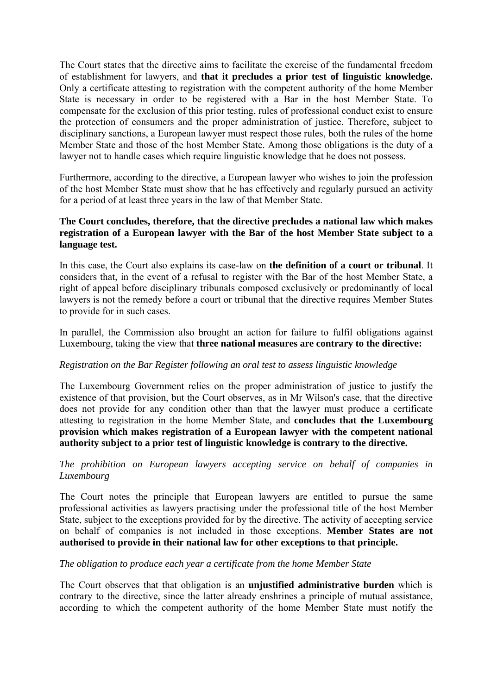The Court states that the directive aims to facilitate the exercise of the fundamental freedom of establishment for lawyers, and **that it precludes a prior test of linguistic knowledge.** Only a certificate attesting to registration with the competent authority of the home Member State is necessary in order to be registered with a Bar in the host Member State. To compensate for the exclusion of this prior testing, rules of professional conduct exist to ensure the protection of consumers and the proper administration of justice. Therefore, subject to disciplinary sanctions, a European lawyer must respect those rules, both the rules of the home Member State and those of the host Member State. Among those obligations is the duty of a lawyer not to handle cases which require linguistic knowledge that he does not possess.

Furthermore, according to the directive, a European lawyer who wishes to join the profession of the host Member State must show that he has effectively and regularly pursued an activity for a period of at least three years in the law of that Member State.

## **The Court concludes, therefore, that the directive precludes a national law which makes registration of a European lawyer with the Bar of the host Member State subject to a language test.**

In this case, the Court also explains its case-law on **the definition of a court or tribunal**. It considers that, in the event of a refusal to register with the Bar of the host Member State, a right of appeal before disciplinary tribunals composed exclusively or predominantly of local lawyers is not the remedy before a court or tribunal that the directive requires Member States to provide for in such cases.

In parallel, the Commission also brought an action for failure to fulfil obligations against Luxembourg, taking the view that **three national measures are contrary to the directive:** 

# *Registration on the Bar Register following an oral test to assess linguistic knowledge*

The Luxembourg Government relies on the proper administration of justice to justify the existence of that provision, but the Court observes, as in Mr Wilson's case, that the directive does not provide for any condition other than that the lawyer must produce a certificate attesting to registration in the home Member State, and **concludes that the Luxembourg provision which makes registration of a European lawyer with the competent national authority subject to a prior test of linguistic knowledge is contrary to the directive.** 

## *The prohibition on European lawyers accepting service on behalf of companies in Luxembourg*

The Court notes the principle that European lawyers are entitled to pursue the same professional activities as lawyers practising under the professional title of the host Member State, subject to the exceptions provided for by the directive. The activity of accepting service on behalf of companies is not included in those exceptions. **Member States are not authorised to provide in their national law for other exceptions to that principle.**

#### *The obligation to produce each year a certificate from the home Member State*

The Court observes that that obligation is an **unjustified administrative burden** which is contrary to the directive, since the latter already enshrines a principle of mutual assistance, according to which the competent authority of the home Member State must notify the